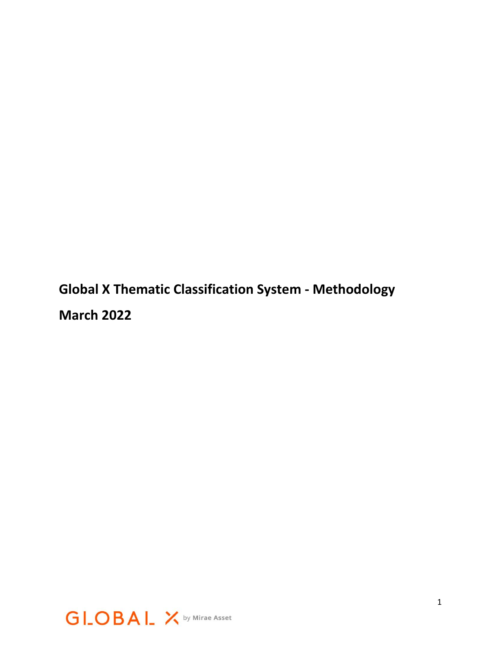**Global X Thematic Classification System - Methodology March 2022**

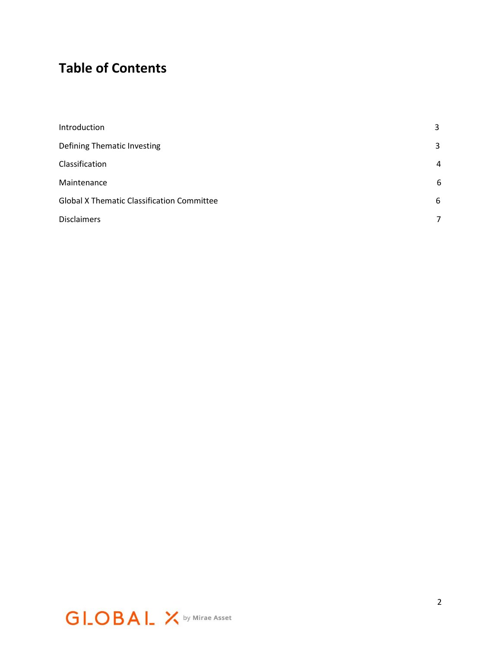# **Table of Contents**

| Introduction                                      | 3 |
|---------------------------------------------------|---|
| Defining Thematic Investing                       | 3 |
| Classification                                    | 4 |
| Maintenance                                       | 6 |
| <b>Global X Thematic Classification Committee</b> |   |
| <b>Disclaimers</b>                                | 7 |

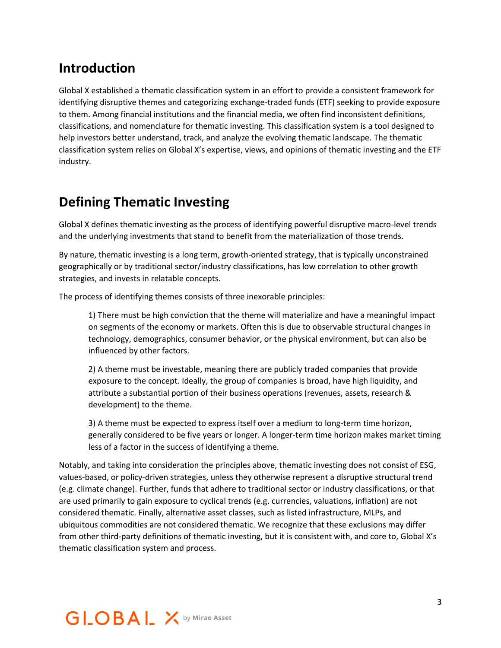### **Introduction**

Global X established a thematic classification system in an effort to provide a consistent framework for identifying disruptive themes and categorizing exchange-traded funds (ETF) seeking to provide exposure to them. Among financial institutions and the financial media, we often find inconsistent definitions, classifications, and nomenclature for thematic investing. This classification system is a tool designed to help investors better understand, track, and analyze the evolving thematic landscape. The thematic classification system relies on Global X's expertise, views, and opinions of thematic investing and the ETF industry.

### **Defining Thematic Investing**

Global X defines thematic investing as the process of identifying powerful disruptive macro-level trends and the underlying investments that stand to benefit from the materialization of those trends.

By nature, thematic investing is a long term, growth-oriented strategy, that is typically unconstrained geographically or by traditional sector/industry classifications, has low correlation to other growth strategies, and invests in relatable concepts.

The process of identifying themes consists of three inexorable principles:

1) There must be high conviction that the theme will materialize and have a meaningful impact on segments of the economy or markets. Often this is due to observable structural changes in technology, demographics, consumer behavior, or the physical environment, but can also be influenced by other factors.

2) A theme must be investable, meaning there are publicly traded companies that provide exposure to the concept. Ideally, the group of companies is broad, have high liquidity, and attribute a substantial portion of their business operations (revenues, assets, research & development) to the theme.

3) A theme must be expected to express itself over a medium to long-term time horizon, generally considered to be five years or longer. A longer-term time horizon makes market timing less of a factor in the success of identifying a theme.

Notably, and taking into consideration the principles above, thematic investing does not consist of ESG, values-based, or policy-driven strategies, unless they otherwise represent a disruptive structural trend (e.g. climate change). Further, funds that adhere to traditional sector or industry classifications, or that are used primarily to gain exposure to cyclical trends (e.g. currencies, valuations, inflation) are not considered thematic. Finally, alternative asset classes, such as listed infrastructure, MLPs, and ubiquitous commodities are not considered thematic. We recognize that these exclusions may differ from other third-party definitions of thematic investing, but it is consistent with, and core to, Global X's thematic classification system and process.

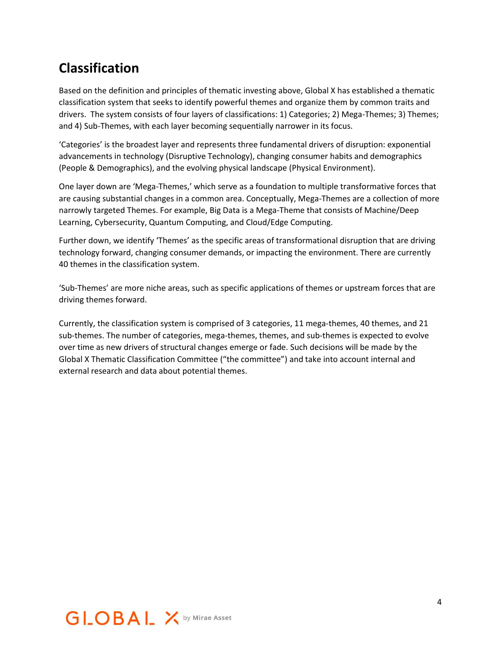# **Classification**

Based on the definition and principles of thematic investing above, Global X has established a thematic classification system that seeks to identify powerful themes and organize them by common traits and drivers. The system consists of four layers of classifications: 1) Categories; 2) Mega-Themes; 3) Themes; and 4) Sub-Themes, with each layer becoming sequentially narrower in its focus.

'Categories' is the broadest layer and represents three fundamental drivers of disruption: exponential advancements in technology (Disruptive Technology), changing consumer habits and demographics (People & Demographics), and the evolving physical landscape (Physical Environment).

One layer down are 'Mega-Themes,' which serve as a foundation to multiple transformative forces that are causing substantial changes in a common area. Conceptually, Mega-Themes are a collection of more narrowly targeted Themes. For example, Big Data is a Mega-Theme that consists of Machine/Deep Learning, Cybersecurity, Quantum Computing, and Cloud/Edge Computing.

Further down, we identify 'Themes' as the specific areas of transformational disruption that are driving technology forward, changing consumer demands, or impacting the environment. There are currently 40 themes in the classification system.

'Sub-Themes' are more niche areas, such as specific applications of themes or upstream forces that are driving themes forward.

Currently, the classification system is comprised of 3 categories, 11 mega-themes, 40 themes, and 21 sub-themes. The number of categories, mega-themes, themes, and sub-themes is expected to evolve over time as new drivers of structural changes emerge or fade. Such decisions will be made by the Global X Thematic Classification Committee ("the committee") and take into account internal and external research and data about potential themes.

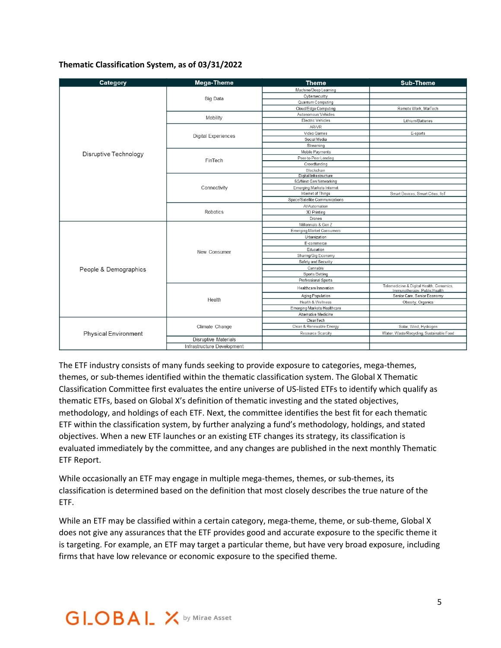#### **Thematic Classification System, as of 03/31/2022**

| Category                    | Mega-Theme                  | <b>Theme</b>                     | <b>Sub-Theme</b>                                                         |
|-----------------------------|-----------------------------|----------------------------------|--------------------------------------------------------------------------|
| Disruptive Technology       | <b>Big Data</b>             | Machine/Deep Learning            |                                                                          |
|                             |                             | Cybersecurity                    |                                                                          |
|                             |                             | Quantum Computing                |                                                                          |
|                             |                             | Cloud/Edge Computing             | Remote Work, MarTech                                                     |
|                             | Mobility                    | Autonomous Vehicles              |                                                                          |
|                             |                             | Electric Vehicles                | Lithium/Batteries                                                        |
|                             | <b>Digital Experiences</b>  | AR/VR                            |                                                                          |
|                             |                             | Video Games                      | E-sports                                                                 |
|                             |                             | Social Media                     |                                                                          |
|                             |                             | Streaming                        |                                                                          |
|                             | FinTech                     | Mobile Payments                  |                                                                          |
|                             |                             | Peer-to-Peer Lending             |                                                                          |
|                             |                             | Crowdfunding                     |                                                                          |
|                             |                             | Blockchain                       |                                                                          |
|                             |                             | Digital Infrastructure           |                                                                          |
|                             | Connectivity                | 5G/Next Gen Networking           |                                                                          |
|                             |                             | <b>Emerging Markets Internet</b> |                                                                          |
|                             |                             | Internet of Things               | Smart Devices, Smart Cities, IloT                                        |
|                             |                             | Space/Satellite Communications   |                                                                          |
|                             | Robotics                    | Al/Automation                    |                                                                          |
|                             |                             | 3D Printing                      |                                                                          |
|                             |                             | Drones                           |                                                                          |
| People & Demographics       | New Consumer                | Millennials & Gen Z              |                                                                          |
|                             |                             | <b>Emerging Market Consumers</b> |                                                                          |
|                             |                             | Urbanization                     |                                                                          |
|                             |                             | E-commerce                       |                                                                          |
|                             |                             | Education                        |                                                                          |
|                             |                             | Sharing/Gig Economy              |                                                                          |
|                             |                             | Safety and Security              |                                                                          |
|                             |                             | Cannabis                         |                                                                          |
|                             |                             | Sports Betting                   |                                                                          |
|                             |                             | Professional Sports              |                                                                          |
|                             | Health                      | Healthcare Innovation            | Telemedicine & Digital Health, Genomics,<br>Immunotherapy, Public Health |
|                             |                             | Aging Population                 | Senior Care, Senior Economy                                              |
|                             |                             | Health & Wellness                | Obesity, Organics                                                        |
|                             |                             | Emerging Markets Healthcare      |                                                                          |
|                             |                             | Alternative Medicine             |                                                                          |
| <b>Physical Environment</b> | Climate Change              | CleanTech                        |                                                                          |
|                             |                             | Clean & Renewable Energy         | Solar, Wind, Hydrogen                                                    |
|                             |                             | Resource Scarcity                | Water, Waste/Recycling, Sustainable Food                                 |
|                             | <b>Disruptive Materials</b> |                                  |                                                                          |
|                             | Infrastructure Development  |                                  |                                                                          |

The ETF industry consists of many funds seeking to provide exposure to categories, mega-themes, themes, or sub-themes identified within the thematic classification system. The Global X Thematic Classification Committee first evaluates the entire universe of US-listed ETFs to identify which qualify as thematic ETFs, based on Global X's definition of thematic investing and the stated objectives, methodology, and holdings of each ETF. Next, the committee identifies the best fit for each thematic ETF within the classification system, by further analyzing a fund's methodology, holdings, and stated objectives. When a new ETF launches or an existing ETF changes its strategy, its classification is evaluated immediately by the committee, and any changes are published in the next monthly Thematic ETF Report.

While occasionally an ETF may engage in multiple mega-themes, themes, or sub-themes, its classification is determined based on the definition that most closely describes the true nature of the ETF.

While an ETF may be classified within a certain category, mega-theme, theme, or sub-theme, Global X does not give any assurances that the ETF provides good and accurate exposure to the specific theme it is targeting. For example, an ETF may target a particular theme, but have very broad exposure, including firms that have low relevance or economic exposure to the specified theme.

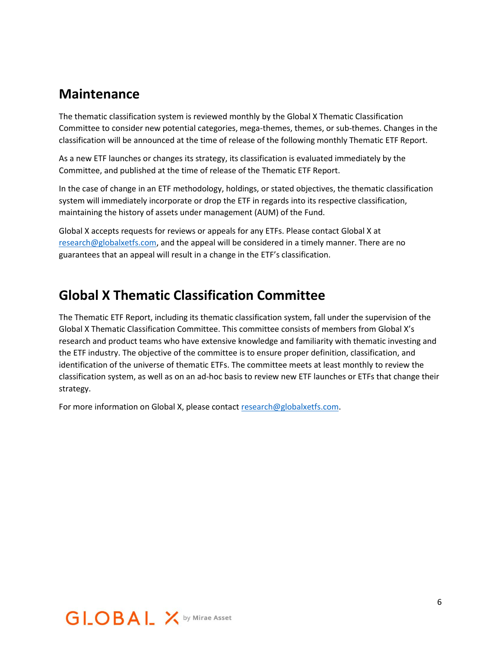### **Maintenance**

The thematic classification system is reviewed monthly by the Global X Thematic Classification Committee to consider new potential categories, mega-themes, themes, or sub-themes. Changes in the classification will be announced at the time of release of the following monthly Thematic ETF Report.

As a new ETF launches or changes its strategy, its classification is evaluated immediately by the Committee, and published at the time of release of the Thematic ETF Report.

In the case of change in an ETF methodology, holdings, or stated objectives, the thematic classification system will immediately incorporate or drop the ETF in regards into its respective classification, maintaining the history of assets under management (AUM) of the Fund.

Global X accepts requests for reviews or appeals for any ETFs. Please contact Global X at [research@globalxetfs.com,](mailto:research@globalxetfs.com) and the appeal will be considered in a timely manner. There are no guarantees that an appeal will result in a change in the ETF's classification.

# **Global X Thematic Classification Committee**

The Thematic ETF Report, including its thematic classification system, fall under the supervision of the Global X Thematic Classification Committee. This committee consists of members from Global X's research and product teams who have extensive knowledge and familiarity with thematic investing and the ETF industry. The objective of the committee is to ensure proper definition, classification, and identification of the universe of thematic ETFs. The committee meets at least monthly to review the classification system, as well as on an ad-hoc basis to review new ETF launches or ETFs that change their strategy.

For more information on Global X, please contact [research@globalxetfs.com.](mailto:research@globalxetfs.com)